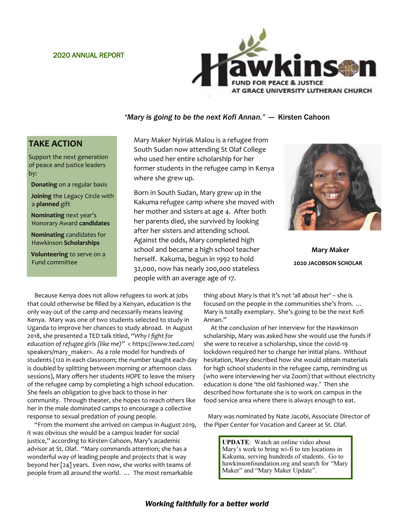### 2020 ANNUAL REPORT



### *"Mary is going to be the next Kofi Annan."* — Kirsten Cahoon

### **TAKE ACTION**

Support the next generation of peace and justice leaders by:

- **Donating** on a regular basis
- **Joining** the Legacy Circle with a **planned** gift
- **Nominating** next year's Honorary Award **candidates**
- **Nominating** candidates for Hawkinson **Scholarships**

**Volunteering** to serve on a Fund committee

Mary Maker Nyiriak Malou is a refugee from South Sudan now attending St Olaf College who used her entire scholarship for her former students in the refugee camp in Kenya where she grew up.

Born in South Sudan, Mary grew up in the Kakuma refugee camp where she moved with her mother and sisters at age 4. After both her parents died, she survived by looking after her sisters and attending school. Against the odds, Mary completed high school and became a high school teacher herself. Kakuma, begun in 1992 to hold 32,000, now has nearly 200,000 stateless people with an average age of 17.



**Mary Maker 2020 JACOBSON SCHOLAR**

 Because Kenya does not allow refugees to work at jobs that could otherwise be filled by a Kenyan, education is the only way out of the camp and necessarily means leaving Kenya. Mary was one of two students selected to study in Uganda to improve her chances to study abroad. In August 2018, she presented a TED talk titled, *"Why I fight for education of refugee girls (like me)"* < https://www.ted.com/ speakers/mary maker>. As a role model for hundreds of students (120 in each classroom; the number taught each day is doubled by splitting between morning or afternoon class sessions), Mary offers her students *HOPE* to leave the misery of the refugee camp by completing a high school education. She feels an obligation to give back to those in her community. Through theater, she hopes to reach others like her in the male dominated camps to encourage a collective response to sexual predation of young people.

 "From the moment she arrived on campus in August 2019, it was obvious she would be a campus leader for social justice," according to Kirsten Cahoon, Mary's academic advisor at St. Olaf. "Mary commands attention; she has a wonderful way of leading people and projects that is way beyond her [24] years. Even now, she works with teams of people from all around the world. … The most remarkable

thing about Mary is that it's not 'all about her' – she is focused on the people in the communities she's from. … Mary is totally exemplary. She's going to be the next Kofi Annan."

 At the conclusion of her interview for the Hawkinson scholarship, Mary was asked how she would use the funds if she were to receive a scholarship, since the covid-19 lockdown required her to change her initial plans. Without hesitation, Mary described how she would obtain materials for high school students in the refugee camp, reminding us (who were interviewing her via Zoom) that without electricity education is done 'the old fashioned way.' Then she described how fortunate she is to work on campus in the food service area where there is always enough to eat.

 Mary was nominated by Nate Jacobi, Associate Director of the Piper Center for Vocation and Career at St. Olaf.

> **UPDATE**: Watch an online video about Mary's work to bring wi-fi to ten locations in Kakuma, serving hundreds of students. Go to hawkinsonfoundation.org and search for "Mary Maker" and "Mary Maker Update".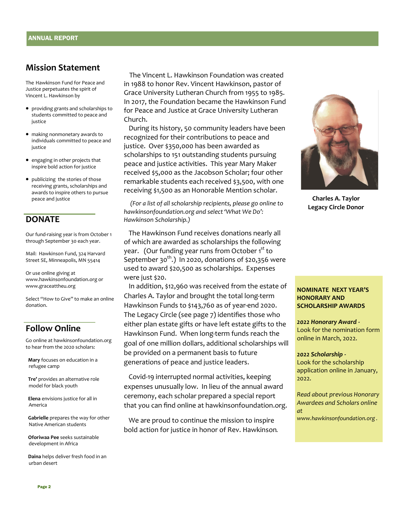### **Mission Statement**

The Hawkinson Fund for Peace and Justice perpetuates the spirit of Vincent L. Hawkinson by

- providing grants and scholarships to students committed to peace and justice
- making nonmonetary awards to individuals committed to peace and iustice
- engaging in other projects that inspire bold action for justice
- publicizing the stories of those receiving grants, scholarships and awards to inspire others to pursue peace and justice

### **DONATE**

Our fund-raising year is from October 1 through September 30 each year.

Mail: Hawkinson Fund, 324 Harvard Street SE, Minneapolis, MN 55414

Or use online giving at www.hawkinsonfoundation.org or www.graceattheu.org

Select "How to Give" to make an online donation.

### **Follow Online**

Go online at hawkinsonfoundation.org to hear from the 2020 scholars:

**Mary** focuses on education in a refugee camp

**Tre'** provides an alternative role model for black youth

**Elena** envisions justice for all in America

**Gabrielle** prepares the way for other Native American students

**Oforiwaa Pee** seeks sustainable development in Africa

**Daina** helps deliver fresh food in an urban desert

 The Vincent L. Hawkinson Foundation was created in 1988 to honor Rev. Vincent Hawkinson, pastor of Grace University Lutheran Church from 1955 to 1985. In 2017, the Foundation became the Hawkinson Fund for Peace and Justice at Grace University Lutheran Church.

 During its history, 50 community leaders have been recognized for their contributions to peace and justice. Over \$350,000 has been awarded as scholarships to 151 outstanding students pursuing peace and justice activities. This year Mary Maker received \$5,000 as the Jacobson Scholar; four other remarkable students each received \$3,500, with one receiving \$1,500 as an Honorable Mention scholar.

 *(For a list of all scholarship recipients, please go online to hawkinsonfoundation.org and select 'What We Do': Hawkinson Scholarship.)*

 The Hawkinson Fund receives donations nearly all of which are awarded as scholarships the following year. (Our funding year runs from October 1<sup>st</sup> to September 30<sup>th</sup>.) In 2020, donations of \$20,356 were used to award \$20,500 as scholarships. Expenses were just \$20.

 In addition, \$12,960 was received from the estate of Charles A. Taylor and brought the total long-term Hawkinson Funds to \$143,760 as of year-end 2020. The Legacy Circle (see page 7) identifies those who either plan estate gifts or have left estate gifts to the Hawkinson Fund. When long-term funds reach the goal of one million dollars, additional scholarships will be provided on a permanent basis to future generations of peace and justice leaders.

 Covid-19 interrupted normal activities, keeping expenses unusually low. In lieu of the annual award ceremony, each scholar prepared a special report that you can find online at hawkinsonfoundation.org.

 We are proud to continue the mission to inspire bold action for justice in honor of Rev. Hawkinson.



**Charles A. Taylor Legacy Circle Donor**

### **NOMINATE NEXT YEAR'S HONORARY AND SCHOLARSHIP AWARDS**

*2022 Honorary Award -* Look for the nomination form online in March, 2022.

#### *2022 Scholarship -*

Look for the scholarship application online in January, 2022.

*Read about previous Honorary Awardees and Scholars online at* 

*www.hawkinsonfoundation.org .*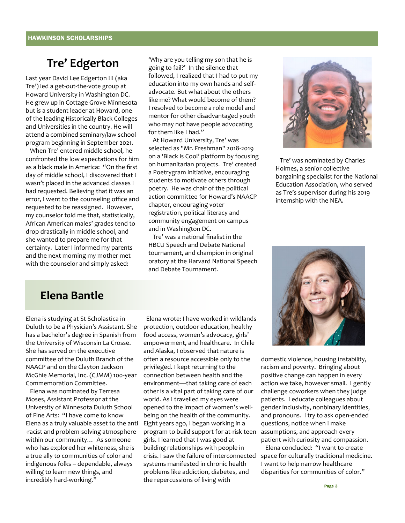## **Tre' Edgerton**

Last year David Lee Edgerton III (aka Tre') led a get-out-the-vote group at Howard University in Washington DC. He grew up in Cottage Grove Minnesota but is a student leader at Howard, one of the leading Historically Black Colleges and Universities in the country. He will attend a combined seminary/law school program beginning in September 2021.

 When Tre' entered middle school, he confronted the low expectations for him as a black male in America: "On the first day of middle school, I discovered that I wasn't placed in the advanced classes I had requested. Believing that it was an error, I went to the counseling office and requested to be reassigned. However, my counselor told me that, statistically, African American males' grades tend to drop drastically in middle school, and she wanted to prepare me for that certainty. Later I informed my parents and the next morning my mother met with the counselor and simply asked:

'Why are you telling my son that he is going to fail?' In the silence that followed, I realized that I had to put my education into my own hands and selfadvocate. But what about the others like me? What would become of them? I resolved to become a role model and mentor for other disadvantaged youth who may not have people advocating for them like I had."

 At Howard University, Tre' was selected as "Mr. Freshman" 2018-2019 on a 'Black is Cool' platform by focusing on humanitarian projects. Tre' created a Poetrygram initiative, encouraging students to motivate others through poetry. He was chair of the political action committee for Howard's NAACP chapter, encouraging voter registration, political literacy and community engagement on campus and in Washington DC.

 Tre' was a national finalist in the HBCU Speech and Debate National tournament, and champion in original oratory at the Harvard National Speech and Debate Tournament.



 Tre' was nominated by Charles Holmes, a senior collective bargaining specialist for the National Education Association, who served as Tre's supervisor during his 2019 internship with the NEA.

### **Elena Bantle**

Elena is studying at St Scholastica in Duluth to be a Physician's Assistant. She has a bachelor's degree in Spanish from the University of Wisconsin La Crosse. She has served on the executive committee of the Duluth Branch of the NAACP and on the Clayton Jackson McGhie Memorial, Inc. (CJMM) 100-year Commemoration Committee.

 Elena was nominated by Terresa Moses, Assistant Professor at the University of Minnesota Duluth School of Fine Arts: "I have come to know Elena as a truly valuable asset to the anti -racist and problem-solving atmosphere within our community… As someone who has explored her whiteness, she is a true ally to communities of color and indigenous folks – dependable, always willing to learn new things, and incredibly hard-working."

 Elena wrote: I have worked in wildlands protection, outdoor education, healthy food access, women's advocacy, girls' empowerment, and healthcare. In Chile and Alaska, I observed that nature is often a resource accessible only to the privileged. I kept returning to the connection between health and the environment—that taking care of each other is a vital part of taking care of our world. As I travelled my eyes were opened to the impact of women's wellbeing on the health of the community. Eight years ago, I began working in a program to build support for at-risk teen girls. I learned that I was good at building relationships with people in crisis. I saw the failure of interconnected systems manifested in chronic health problems like addiction, diabetes, and the repercussions of living with



domestic violence, housing instability, racism and poverty. Bringing about positive change can happen in every action we take, however small. I gently challenge coworkers when they judge patients. I educate colleagues about gender inclusivity, nonbinary identities, and pronouns. I try to ask open-ended questions, notice when I make assumptions, and approach every patient with curiosity and compassion.

 Elena concluded: "I want to create space for culturally traditional medicine. I want to help narrow healthcare disparities for communities of color."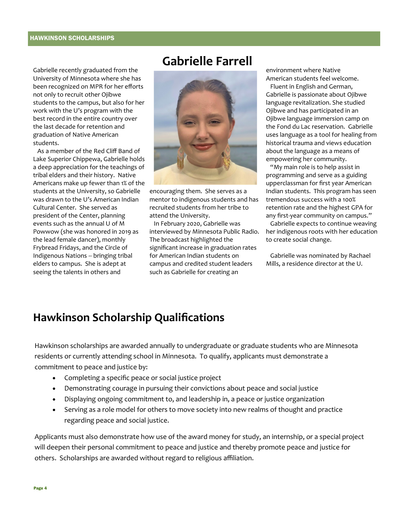Gabrielle recently graduated from the University of Minnesota where she has been recognized on MPR for her efforts not only to recruit other Ojibwe students to the campus, but also for her work with the U's program with the best record in the entire country over the last decade for retention and graduation of Native American students.

 As a member of the Red Cliff Band of Lake Superior Chippewa, Gabrielle holds a deep appreciation for the teachings of tribal elders and their history. Native Americans make up fewer than 1% of the students at the University, so Gabrielle was drawn to the U's American Indian Cultural Center. She served as president of the Center, planning events such as the annual U of M Powwow (she was honored in 2019 as the lead female dancer), monthly Frybread Fridays, and the Circle of Indigenous Nations -- bringing tribal elders to campus. She is adept at seeing the talents in others and

## **Gabrielle Farrell**



encouraging them. She serves as a mentor to indigenous students and has recruited students from her tribe to attend the University.

 In February 2020, Gabrielle was interviewed by Minnesota Public Radio. The broadcast highlighted the significant increase in graduation rates for American Indian students on campus and credited student leaders such as Gabrielle for creating an

environment where Native American students feel welcome.

 Fluent in English and German, Gabrielle is passionate about Ojibwe language revitalization. She studied Ojibwe and has participated in an Ojibwe language immersion camp on the Fond du Lac reservation. Gabrielle uses language as a tool for healing from historical trauma and views education about the language as a means of empowering her community.

 "My main role is to help assist in programming and serve as a guiding upperclassman for first year American Indian students. This program has seen tremendous success with a 100% retention rate and the highest GPA for any first-year community on campus."

 Gabrielle expects to continue weaving her indigenous roots with her education to create social change.

 Gabrielle was nominated by Rachael Mills, a residence director at the U.

## **Hawkinson Scholarship Qualifications**

Hawkinson scholarships are awarded annually to undergraduate or graduate students who are Minnesota residents or currently attending school in Minnesota. To qualify, applicants must demonstrate a commitment to peace and justice by:

- Completing a specific peace or social justice project
- Demonstrating courage in pursuing their convictions about peace and social justice
- Displaying ongoing commitment to, and leadership in, a peace or justice organization
- Serving as a role model for others to move society into new realms of thought and practice regarding peace and social justice.

Applicants must also demonstrate how use of the award money for study, an internship, or a special project will deepen their personal commitment to peace and justice and thereby promote peace and justice for others. Scholarships are awarded without regard to religious affiliation.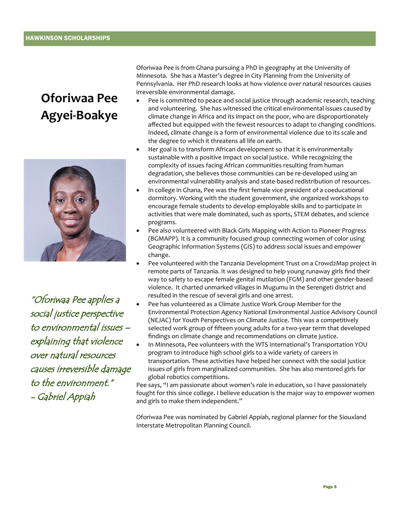## **Oforiwaa Pee Agyei-Boakye**



"Oforiwaa Pee applies a social justice perspective to environmental issues – explaining that violence over natural resources causes irreversible damage to the environment." - Gabriel Appiah

Oforiwaa Pee is from Ghana pursuing a PhD in geography at the University of Minnesota. She has a Master's degree in City Planning from the University of Pennsylvania. Her PhD research looks at how violence over natural resources causes irreversible environmental damage.

- Pee is committed to peace and social justice through academic research, teaching and volunteering. She has witnessed the critical environmental issues caused by climate change in Africa and its impact on the poor, who are disproportionately affected but equipped with the fewest resources to adapt to changing conditions. Indeed, climate change is a form of environmental violence due to its scale and the degree to which it threatens all life on earth.
- Her goal is to transform African development so that it is environmentally sustainable with a positive impact on social justice. While recognizing the complexity of issues facing African communities resulting from human degradation, she believes those communities can be re-developed using an environmental vulnerability analysis and state-based redistribution of resources.
- In college in Ghana, Pee was the first female vice president of a coeducational dormitory. Working with the student government, she organized workshops to encourage female students to develop employable skills and to participate in activities that were male dominated, such as sports, STEM debates, and science programs.
- Pee also volunteered with Black Girls Mapping with Action to Pioneer Progress (BGMAPP). It is a community focused group connecting women of color using Geographic Information Systems (GIS) to address social issues and empower change.
- Pee volunteered with the Tanzania Development Trust on a Crowd2Map project in remote parts of Tanzania. It was designed to help young runaway girls find their way to safety to escape female genital mutilation (FGM) and other gender-based violence. It charted unmarked villages in Mugumu in the Serengeti district and resulted in the rescue of several girls and one arrest.
- Pee has volunteered as a Climate Justice Work Group Member for the Environmental Protection Agency National Environmental Justice Advisory Council (NEJAC) for Youth Perspectives on Climate Justice. This was a competitively selected work group of fifteen young adults for a two-year term that developed findings on climate change and recommendations on climate justice.
- In Minnesota, Pee volunteers with the WTS International's Transportation YOU program to introduce high school girls to a wide variety of careers in transportation. These activities have helped her connect with the social justice issues of girls from marginalized communities. She has also mentored girls for global robotics competitions.

Pee says, "I am passionate about women's role in education, so I have passionately fought for this since college. I believe education is the major way to empower women and girls to make them independent."

Oforiwaa Pee was nominated by Gabriel Appiah, regional planner for the Siouxland Interstate Metropolitan Planning Council.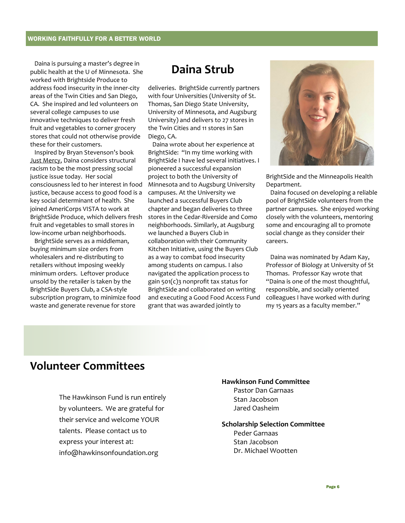Daina is pursuing a master's degree in public health at the U of Minnesota. She worked with Brightside Produce to address food insecurity in the inner-city areas of the Twin Cities and San Diego, CA. She inspired and led volunteers on several college campuses to use innovative techniques to deliver fresh fruit and vegetables to corner grocery stores that could not otherwise provide these for their customers.

 Inspired by Bryan Stevenson's book Just Mercy, Daina considers structural racism to be the most pressing social justice issue today. Her social consciousness led to her interest in food justice, because access to good food is a key social determinant of health. She joined AmeriCorps VISTA to work at BrightSide Produce, which delivers fresh fruit and vegetables to small stores in low-income urban neighborhoods.

 BrightSide serves as a middleman, buying minimum size orders from wholesalers and re-distributing to retailers without imposing weekly minimum orders. Leftover produce unsold by the retailer is taken by the BrightSide Buyers Club, a CSA-style subscription program, to minimize food waste and generate revenue for store

## **Daina Strub**

deliveries. BrightSide currently partners with four Universities (University of St. Thomas, San Diego State University, University of Minnesota, and Augsburg University) and delivers to 27 stores in the Twin Cities and 11 stores in San Diego, CA.

 Daina wrote about her experience at BrightSide: "In my time working with BrightSide I have led several initiatives. I pioneered a successful expansion project to both the University of Minnesota and to Augsburg University campuses. At the University we launched a successful Buyers Club chapter and began deliveries to three stores in the Cedar-Riverside and Como neighborhoods. Similarly, at Augsburg we launched a Buyers Club in collaboration with their Community Kitchen Initiative, using the Buyers Club as a way to combat food insecurity among students on campus. I also navigated the application process to gain 501(c)3 nonprofit tax status for BrightSide and collaborated on writing and executing a Good Food Access Fund grant that was awarded jointly to



BrightSide and the Minneapolis Health Department.

 Daina focused on developing a reliable pool of BrightSide volunteers from the partner campuses. She enjoyed working closely with the volunteers, mentoring some and encouraging all to promote social change as they consider their careers.

 Daina was nominated by Adam Kay, Professor of Biology at University of St Thomas. Professor Kay wrote that "Daina is one of the most thoughtful, responsible, and socially oriented colleagues I have worked with during my 15 years as a faculty member."

## **Volunteer Committees**

The Hawkinson Fund is run entirely by volunteers. We are grateful for their service and welcome YOUR talents. Please contact us to express your interest at: info@hawkinsonfoundation.org

### **Hawkinson Fund Committee**

Pastor Dan Garnaas Stan Jacobson Jared Oasheim

### **Scholarship Selection Committee**  Peder Garnaas Stan Jacobson Dr. Michael Wootten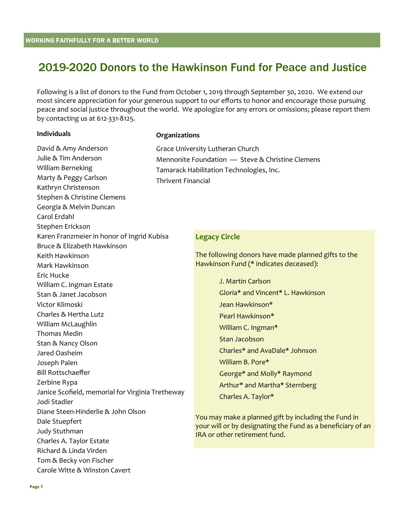## 2019-2020 Donors to the Hawkinson Fund for Peace and Justice

Following is a list of donors to the Fund from October 1, 2019 through September 30, 2020. We extend our most sincere appreciation for your generous support to our efforts to honor and encourage those pursuing peace and social justice throughout the world. We apologize for any errors or omissions; please report them by contacting us at 612-331-8125.

### **Individuals**

### **Organizations**

David & Amy Anderson Julie & Tim Anderson William Berneking Marty & Peggy Carlson Kathryn Christenson Stephen & Christine Clemens Georgia & Melvin Duncan Carol Erdahl Stephen Erickson Karen Franzmeier in honor of Ingrid Kubisa Bruce & Elizabeth Hawkinson Keith Hawkinson Mark Hawkinson Eric Hucke William C. Ingman Estate Stan & Janet Jacobson Victor Klimoski Charles & Hertha Lutz William McLaughlin Thomas Medin Stan & Nancy Olson Jared Oasheim Joseph Palen Bill Rottschaeffer Zerbine Rypa Janice Scofield, memorial for Virginia Tretheway Jodi Stadler Diane Steen-Hinderlie & John Olson Dale Stuepfert Judy Stuthman Charles A. Taylor Estate Richard & Linda Virden Tom & Becky von Fischer Carole Witte & Winston Cavert

| Grace University Lutheran Church                 |
|--------------------------------------------------|
| Mennonite Foundation - Steve & Christine Clemens |
| Tamarack Habilitation Technologies, Inc.         |
| Thrivent Financial                               |

### **Legacy Circle**

The following donors have made planned gifts to the Hawkinson Fund (\* indicates deceased):

> J. Martin Carlson Gloria\* and Vincent\* L. Hawkinson Jean Hawkinson\* Pearl Hawkinson\* William C. Ingman\* Stan Jacobson Charles\* and AvaDale\* Johnson William B. Pore\* George\* and Molly\* Raymond Arthur\* and Martha\* Sternberg Charles A. Taylor\*

You may make a planned gift by including the Fund in your will or by designating the Fund as a beneficiary of an IRA or other retirement fund.